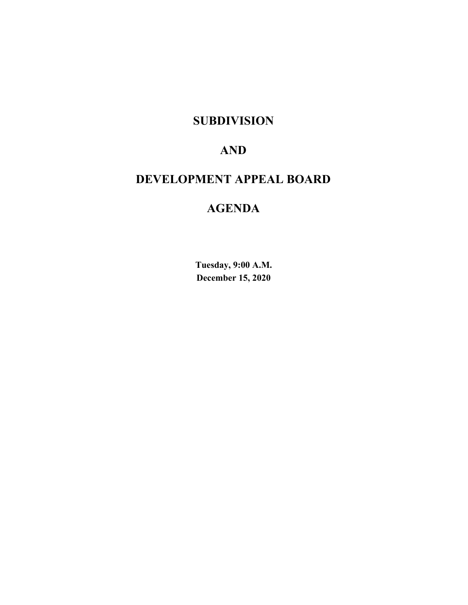## **SUBDIVISION**

## **AND**

## **DEVELOPMENT APPEAL BOARD**

## **AGENDA**

**Tuesday, 9:00 A.M. December 15, 2020**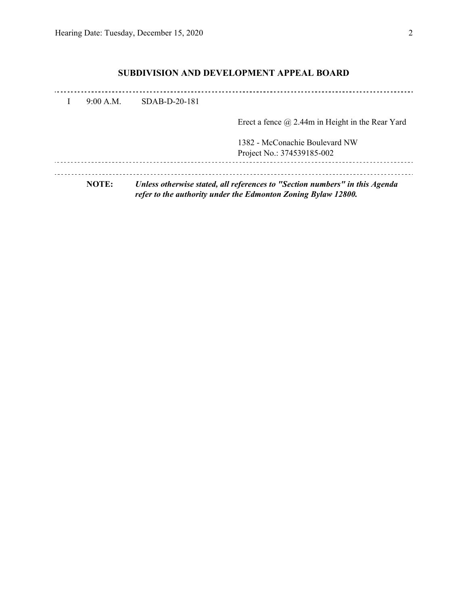## **SUBDIVISION AND DEVELOPMENT APPEAL BOARD**

| <b>NOTE:</b> | Unless otherwise stated, all references to "Section numbers" in this Agenda<br>refer to the authority under the Edmonton Zoning Bylaw 12800. |                                                              |  |  |  |
|--------------|----------------------------------------------------------------------------------------------------------------------------------------------|--------------------------------------------------------------|--|--|--|
|              |                                                                                                                                              | 1382 - McConachie Boulevard NW<br>Project No.: 374539185-002 |  |  |  |
|              |                                                                                                                                              | Erect a fence $\omega$ 2.44m in Height in the Rear Yard      |  |  |  |
| 9:00 A.M.    | $SDAB-D-20-181$                                                                                                                              |                                                              |  |  |  |
|              |                                                                                                                                              |                                                              |  |  |  |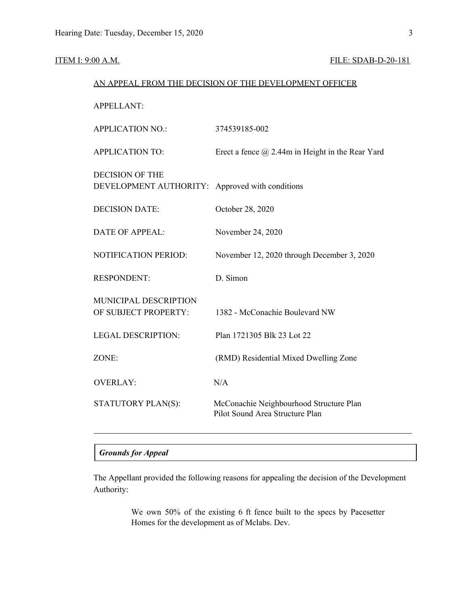#### **ITEM I: 9:00 A.M. FILE: SDAB-D-20-181**

# AN APPEAL FROM THE DECISION OF THE DEVELOPMENT OFFICER APPELLANT: APPLICATION NO.: 374539185-002 APPLICATION TO: Erect a fence @ 2.44m in Height in the Rear Yard DECISION OF THE DEVELOPMENT AUTHORITY: Approved with conditions DECISION DATE: October 28, 2020 DATE OF APPEAL: November 24, 2020 NOTIFICATION PERIOD: November 12, 2020 through December 3, 2020 RESPONDENT: D. Simon MUNICIPAL DESCRIPTION OF SUBJECT PROPERTY: 1382 - McConachie Boulevard NW LEGAL DESCRIPTION: Plan 1721305 Blk 23 Lot 22 ZONE: (RMD) Residential Mixed Dwelling Zone OVERLAY: N/A STATUTORY PLAN(S): McConachie Neighbourhood Structure Plan Pilot Sound Area Structure Plan

### *Grounds for Appeal*

The Appellant provided the following reasons for appealing the decision of the Development Authority:

> We own 50% of the existing 6 ft fence built to the specs by Pacesetter Homes for the development as of Mclabs. Dev.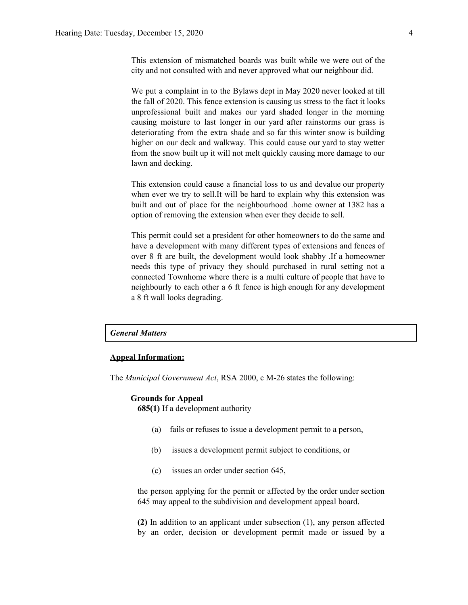This extension of mismatched boards was built while we were out of the city and not consulted with and never approved what our neighbour did.

We put a complaint in to the Bylaws dept in May 2020 never looked at till the fall of 2020. This fence extension is causing us stress to the fact it looks unprofessional built and makes our yard shaded longer in the morning causing moisture to last longer in our yard after rainstorms our grass is deteriorating from the extra shade and so far this winter snow is building higher on our deck and walkway. This could cause our yard to stay wetter from the snow built up it will not melt quickly causing more damage to our lawn and decking.

This extension could cause a financial loss to us and devalue our property when ever we try to sell.It will be hard to explain why this extension was built and out of place for the neighbourhood .home owner at 1382 has a option of removing the extension when ever they decide to sell.

This permit could set a president for other homeowners to do the same and have a development with many different types of extensions and fences of over 8 ft are built, the development would look shabby .If a homeowner needs this type of privacy they should purchased in rural setting not a connected Townhome where there is a multi culture of people that have to neighbourly to each other a 6 ft fence is high enough for any development a 8 ft wall looks degrading.

#### *General Matters*

#### **Appeal Information:**

The *Municipal Government Act*, RSA 2000, c M-26 states the following:

#### **Grounds for Appeal**

**685(1)** If a development authority

- (a) fails or refuses to issue a development permit to a person,
- (b) issues a development permit subject to conditions, or
- (c) issues an order under section 645,

the person applying for the permit or affected by the order under section 645 may appeal to the subdivision and development appeal board.

**(2)** In addition to an applicant under subsection (1), any person affected by an order, decision or development permit made or issued by a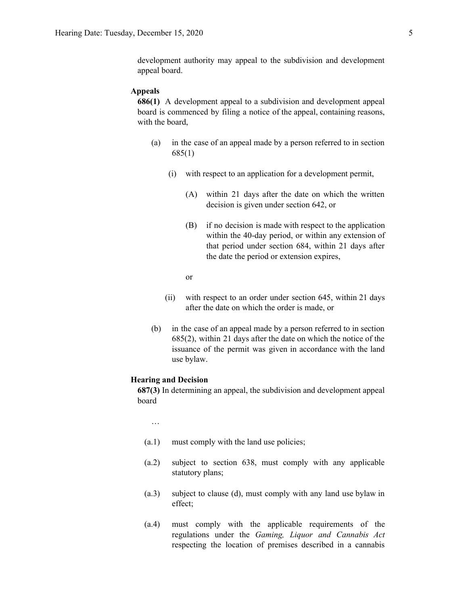#### **Appeals**

**686(1)** A development appeal to a subdivision and development appeal board is commenced by filing a notice of the appeal, containing reasons, with the board,

- (a) in the case of an appeal made by a person referred to in section 685(1)
	- (i) with respect to an application for a development permit,
		- (A) within 21 days after the date on which the written decision is given under section 642, or
		- (B) if no decision is made with respect to the application within the 40-day period, or within any extension of that period under section 684, within 21 days after the date the period or extension expires,

or

- (ii) with respect to an order under section 645, within 21 days after the date on which the order is made, or
- (b) in the case of an appeal made by a person referred to in section 685(2), within 21 days after the date on which the notice of the issuance of the permit was given in accordance with the land use bylaw.

#### **Hearing and Decision**

**687(3)** In determining an appeal, the subdivision and development appeal board

…

- (a.1) must comply with the land use policies;
- (a.2) subject to section 638, must comply with any applicable statutory plans;
- (a.3) subject to clause (d), must comply with any land use bylaw in effect;
- (a.4) must comply with the applicable requirements of the regulations under the *Gaming, Liquor and Cannabis Act* respecting the location of premises described in a cannabis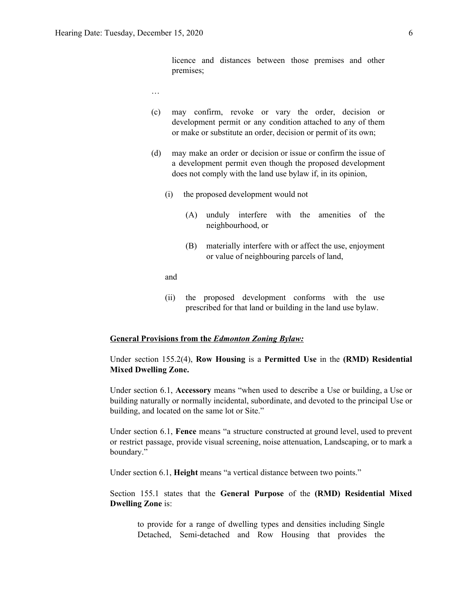licence and distances between those premises and other premises;

- …
- (c) may confirm, revoke or vary the order, decision or development permit or any condition attached to any of them or make or substitute an order, decision or permit of its own;
- (d) may make an order or decision or issue or confirm the issue of a development permit even though the proposed development does not comply with the land use bylaw if, in its opinion,
	- (i) the proposed development would not
		- (A) unduly interfere with the amenities of the neighbourhood, or
		- (B) materially interfere with or affect the use, enjoyment or value of neighbouring parcels of land,

and

(ii) the proposed development conforms with the use prescribed for that land or building in the land use bylaw.

#### **General Provisions from the** *Edmonton Zoning Bylaw:*

Under section 155.2(4), **Row Housing** is a **Permitted Use** in the **(RMD) Residential Mixed Dwelling Zone.**

Under section 6.1, **Accessory** means "when used to describe a Use or building, a Use or building naturally or normally incidental, subordinate, and devoted to the principal Use or building, and located on the same lot or Site."

Under section 6.1, **Fence** means "a structure constructed at ground level, used to prevent or restrict passage, provide visual screening, noise attenuation, Landscaping, or to mark a boundary."

Under section 6.1, **Height** means "a vertical distance between two points."

Section 155.1 states that the **General Purpose** of the **(RMD) Residential Mixed Dwelling Zone** is:

to provide for a range of dwelling types and densities including Single Detached, Semi-detached and Row Housing that provides the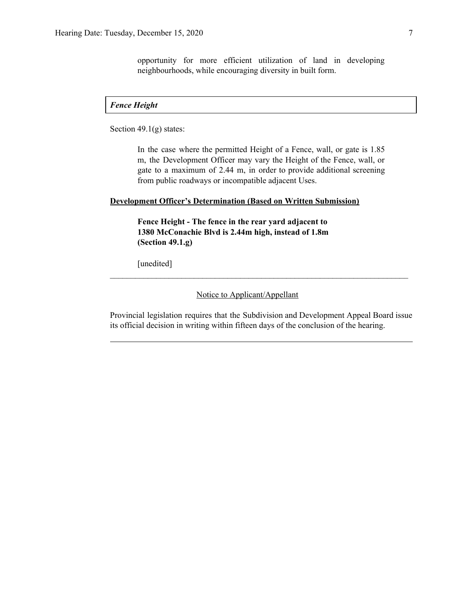opportunity for more efficient utilization of land in developing neighbourhoods, while encouraging diversity in built form.

#### *Fence Height*

Section 49.1(g) states:

In the case where the permitted Height of a Fence, wall, or gate is 1.85 m, the Development Officer may vary the Height of the Fence, wall, or gate to a maximum of 2.44 m, in order to provide additional screening from public roadways or incompatible adjacent Uses.

#### **Development Officer's Determination (Based on Written Submission)**

**Fence Height - The fence in the rear yard adjacent to 1380 McConachie Blvd is 2.44m high, instead of 1.8m (Section 49.1.g)**

[unedited]

Notice to Applicant/Appellant

Provincial legislation requires that the Subdivision and Development Appeal Board issue its official decision in writing within fifteen days of the conclusion of the hearing.

 $\mathcal{L}_\text{max} = \mathcal{L}_\text{max} = \mathcal{L}_\text{max} = \mathcal{L}_\text{max} = \mathcal{L}_\text{max} = \mathcal{L}_\text{max} = \mathcal{L}_\text{max} = \mathcal{L}_\text{max} = \mathcal{L}_\text{max} = \mathcal{L}_\text{max} = \mathcal{L}_\text{max} = \mathcal{L}_\text{max} = \mathcal{L}_\text{max} = \mathcal{L}_\text{max} = \mathcal{L}_\text{max} = \mathcal{L}_\text{max} = \mathcal{L}_\text{max} = \mathcal{L}_\text{max} = \mathcal{$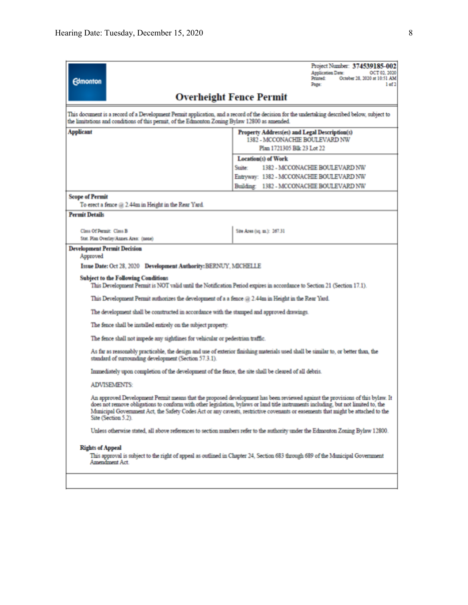| <b>Edmonton</b>                                                                                                                                                                                                                                                                                                                                                                                                                                                                                                                                                                                                                                                                                                                                                                                                                                                      | Project Number: 374539185-002<br><b>Application Date:</b><br>OCT 02, 2020<br>Printed:<br>October 28, 2020 at 10:51 AM<br>1 of 2<br>Page:                                                                                                                                                                                                                                                                                                                                                                                                     |
|----------------------------------------------------------------------------------------------------------------------------------------------------------------------------------------------------------------------------------------------------------------------------------------------------------------------------------------------------------------------------------------------------------------------------------------------------------------------------------------------------------------------------------------------------------------------------------------------------------------------------------------------------------------------------------------------------------------------------------------------------------------------------------------------------------------------------------------------------------------------|----------------------------------------------------------------------------------------------------------------------------------------------------------------------------------------------------------------------------------------------------------------------------------------------------------------------------------------------------------------------------------------------------------------------------------------------------------------------------------------------------------------------------------------------|
|                                                                                                                                                                                                                                                                                                                                                                                                                                                                                                                                                                                                                                                                                                                                                                                                                                                                      | <b>Overheight Fence Permit</b>                                                                                                                                                                                                                                                                                                                                                                                                                                                                                                               |
| This document is a record of a Development Permit application, and a record of the decision for the undertaking described below, subject to<br>the limitations and conditions of this permit, of the Edmonton Zoning Bylaw 12800 as amended.                                                                                                                                                                                                                                                                                                                                                                                                                                                                                                                                                                                                                         |                                                                                                                                                                                                                                                                                                                                                                                                                                                                                                                                              |
| <b>Applicant</b>                                                                                                                                                                                                                                                                                                                                                                                                                                                                                                                                                                                                                                                                                                                                                                                                                                                     | Property Address(es) and Legal Description(s)<br>1382 - MCCONACHIE BOULEVARD NW<br>Plan 1721305 Blk 23 Lot 22                                                                                                                                                                                                                                                                                                                                                                                                                                |
|                                                                                                                                                                                                                                                                                                                                                                                                                                                                                                                                                                                                                                                                                                                                                                                                                                                                      | <b>Location(s)</b> of Work<br>Suite:<br>1382 - MCCONACHIE BOULEVARD NW<br>Entryway: 1382 - MCCONACHIE BOULEVARD NW<br>Building: 1382 - MCCONACHIE BOULEVARD NW                                                                                                                                                                                                                                                                                                                                                                               |
| <b>Scope of Permit</b><br>To erect a fence @ 2.44m in Height in the Rear Yard.                                                                                                                                                                                                                                                                                                                                                                                                                                                                                                                                                                                                                                                                                                                                                                                       |                                                                                                                                                                                                                                                                                                                                                                                                                                                                                                                                              |
| <b>Permit Details</b><br>Class Of Permit: Class B<br>Stat. Plan Overlay/Annex Area: (none)                                                                                                                                                                                                                                                                                                                                                                                                                                                                                                                                                                                                                                                                                                                                                                           | Site Area (sq. m.): 267.31                                                                                                                                                                                                                                                                                                                                                                                                                                                                                                                   |
| <b>Development Permit Decision</b><br>Approved<br>Issue Date: Oct 28, 2020 Development Authority: BERNUY, MICHELLE<br><b>Subject to the Following Conditions</b><br>This Development Permit is NOT valid until the Notification Period expires in accordance to Section 21 (Section 17.1).<br>This Development Permit authorizes the development of a a fence $@2.44m$ in Height in the Rear Yard.<br>The development shall be constructed in accordance with the stamped and approved drawings.<br>The fence shall be installed entirely on the subject property.<br>The fence shall not impede any sightlines for vehicular or pedestrian traffic.<br>standard of surrounding development (Section 57.3.1).<br>Immediately upon completion of the development of the fence, the site shall be cleared of all debris.<br><b>ADVISEMENTS:</b><br>Site (Section 5.2). | As far as reasonably practicable, the design and use of exterior finishing materials used shall be similar to, or better than, the<br>An approved Development Permit means that the proposed development has been reviewed against the provisions of this bylaw. It<br>does not remove obligations to conform with other legislation, bylaws or land title instruments including, but not limited to, the<br>Municipal Government Act, the Safety Codes Act or any caveats, restrictive covenants or easements that might be attached to the |
| <b>Rights of Appeal</b><br>Amendment Act.                                                                                                                                                                                                                                                                                                                                                                                                                                                                                                                                                                                                                                                                                                                                                                                                                            | Unless otherwise stated, all above references to section numbers refer to the authority under the Edmonton Zoning Bylaw 12800.<br>This approval is subject to the right of appeal as outlined in Chapter 24, Section 683 through 689 of the Municipal Government                                                                                                                                                                                                                                                                             |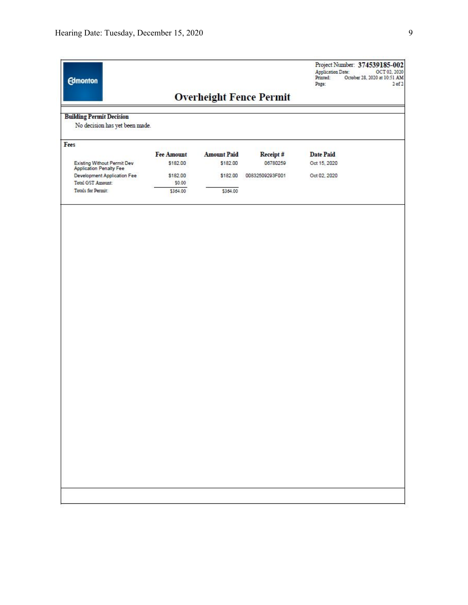| <b>Building Permit Decision</b><br>No decision has yet been made.<br>Fees<br><b>Existing Without Permit Dev</b><br><b>Application Penalty Fee</b><br>Development Application Fee<br>Total GST Amount:<br>Totals for Permit: | <b>Fee Amount</b><br>\$182.00<br>\$182.00<br>\$0.00<br>\$364.00 | <b>Amount Paid</b><br>\$182.00<br>\$182.00<br>\$364.00 | <b>Overheight Fence Permit</b><br>Receipt#<br>06780259<br>00832509293F001 | <b>Date Paid</b><br>Oct 15, 2020<br>Oct 02, 2020 |
|-----------------------------------------------------------------------------------------------------------------------------------------------------------------------------------------------------------------------------|-----------------------------------------------------------------|--------------------------------------------------------|---------------------------------------------------------------------------|--------------------------------------------------|
|                                                                                                                                                                                                                             |                                                                 |                                                        |                                                                           |                                                  |
|                                                                                                                                                                                                                             |                                                                 |                                                        |                                                                           |                                                  |
|                                                                                                                                                                                                                             |                                                                 |                                                        |                                                                           |                                                  |
|                                                                                                                                                                                                                             |                                                                 |                                                        |                                                                           |                                                  |
|                                                                                                                                                                                                                             |                                                                 |                                                        |                                                                           |                                                  |
|                                                                                                                                                                                                                             |                                                                 |                                                        |                                                                           |                                                  |
|                                                                                                                                                                                                                             |                                                                 |                                                        |                                                                           |                                                  |
|                                                                                                                                                                                                                             |                                                                 |                                                        |                                                                           |                                                  |
|                                                                                                                                                                                                                             |                                                                 |                                                        |                                                                           |                                                  |
|                                                                                                                                                                                                                             |                                                                 |                                                        |                                                                           |                                                  |
|                                                                                                                                                                                                                             |                                                                 |                                                        |                                                                           |                                                  |
|                                                                                                                                                                                                                             |                                                                 |                                                        |                                                                           |                                                  |
|                                                                                                                                                                                                                             |                                                                 |                                                        |                                                                           |                                                  |
|                                                                                                                                                                                                                             |                                                                 |                                                        |                                                                           |                                                  |
|                                                                                                                                                                                                                             |                                                                 |                                                        |                                                                           |                                                  |
|                                                                                                                                                                                                                             |                                                                 |                                                        |                                                                           |                                                  |
|                                                                                                                                                                                                                             |                                                                 |                                                        |                                                                           |                                                  |
|                                                                                                                                                                                                                             |                                                                 |                                                        |                                                                           |                                                  |
|                                                                                                                                                                                                                             |                                                                 |                                                        |                                                                           |                                                  |
|                                                                                                                                                                                                                             |                                                                 |                                                        |                                                                           |                                                  |
|                                                                                                                                                                                                                             |                                                                 |                                                        |                                                                           |                                                  |
|                                                                                                                                                                                                                             |                                                                 |                                                        |                                                                           |                                                  |
|                                                                                                                                                                                                                             |                                                                 |                                                        |                                                                           |                                                  |
|                                                                                                                                                                                                                             |                                                                 |                                                        |                                                                           |                                                  |
|                                                                                                                                                                                                                             |                                                                 |                                                        |                                                                           |                                                  |
|                                                                                                                                                                                                                             |                                                                 |                                                        |                                                                           |                                                  |
|                                                                                                                                                                                                                             |                                                                 |                                                        |                                                                           |                                                  |
|                                                                                                                                                                                                                             |                                                                 |                                                        |                                                                           |                                                  |
|                                                                                                                                                                                                                             |                                                                 |                                                        |                                                                           |                                                  |
|                                                                                                                                                                                                                             |                                                                 |                                                        |                                                                           |                                                  |
|                                                                                                                                                                                                                             |                                                                 |                                                        |                                                                           |                                                  |
|                                                                                                                                                                                                                             |                                                                 |                                                        |                                                                           |                                                  |
|                                                                                                                                                                                                                             |                                                                 |                                                        |                                                                           |                                                  |
|                                                                                                                                                                                                                             |                                                                 |                                                        |                                                                           |                                                  |
|                                                                                                                                                                                                                             |                                                                 |                                                        |                                                                           |                                                  |
|                                                                                                                                                                                                                             |                                                                 |                                                        |                                                                           |                                                  |
|                                                                                                                                                                                                                             |                                                                 |                                                        |                                                                           |                                                  |
|                                                                                                                                                                                                                             |                                                                 |                                                        |                                                                           |                                                  |
|                                                                                                                                                                                                                             |                                                                 |                                                        |                                                                           |                                                  |
|                                                                                                                                                                                                                             |                                                                 |                                                        |                                                                           |                                                  |
|                                                                                                                                                                                                                             |                                                                 |                                                        |                                                                           |                                                  |
|                                                                                                                                                                                                                             |                                                                 |                                                        |                                                                           |                                                  |